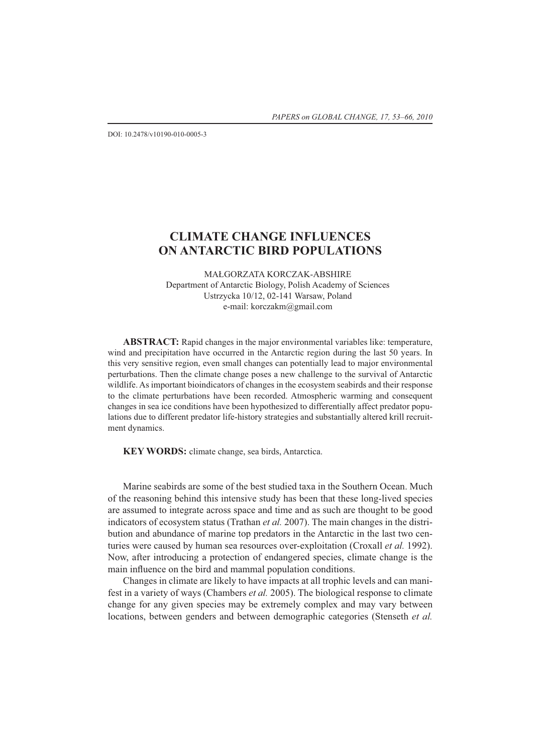DOI: 10.2478/v10190-010-0005-3

# **CLIMATE CHANGE INFLUENCES ON ANTARCTIC BIRD POPULATIONS**

MAŁGORZATA KORCZAK-ABSHIRE Department of Antarctic Biology, Polish Academy of Sciences Ustrzycka 10/12, 02-141 Warsaw, Poland e-mail: korczakm@gmail.com

**ABSTRACT:** Rapid changes in the major environmental variables like: temperature, wind and precipitation have occurred in the Antarctic region during the last 50 years. In this very sensitive region, even small changes can potentially lead to major environmental perturbations. Then the climate change poses a new challenge to the survival of Antarctic wildlife. As important bioindicators of changes in the ecosystem seabirds and their response to the climate perturbations have been recorded. Atmospheric warming and consequent changes in sea ice conditions have been hypothesized to differentially affect predator populations due to different predator life-history strategies and substantially altered krill recruitment dynamics.

**KEY WORDS:** climate change, sea birds, Antarctica.

Marine seabirds are some of the best studied taxa in the Southern Ocean. Much of the reasoning behind this intensive study has been that these long-lived species are assumed to integrate across space and time and as such are thought to be good indicators of ecosystem status (Trathan *et al.* 2007). The main changes in the distribution and abundance of marine top predators in the Antarctic in the last two centuries were caused by human sea resources over-exploitation (Croxall *et al.* 1992). Now, after introducing a protection of endangered species, climate change is the main influence on the bird and mammal population conditions.

Changes in climate are likely to have impacts at all trophic levels and can manifest in a variety of ways (Chambers *et al.* 2005). The biological response to climate change for any given species may be extremely complex and may vary between locations, between genders and between demographic categories (Stenseth *et al.*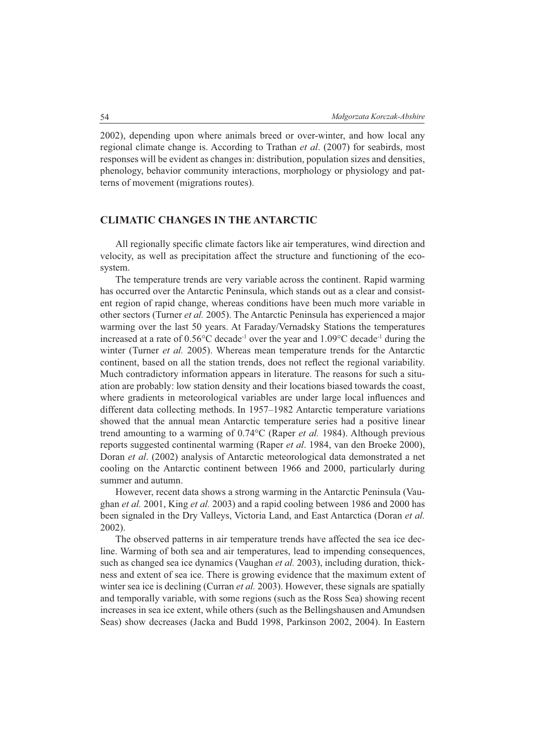2002), depending upon where animals breed or over-winter, and how local any regional climate change is. According to Trathan *et al*. (2007) for seabirds, most responses will be evident as changes in: distribution, population sizes and densities, phenology, behavior community interactions, morphology or physiology and patterns of movement (migrations routes).

#### **CLIMATIC CHANGES IN THE ANTARCTIC**

All regionally specific climate factors like air temperatures, wind direction and velocity, as well as precipitation affect the structure and functioning of the ecosystem.

The temperature trends are very variable across the continent. Rapid warming has occurred over the Antarctic Peninsula, which stands out as a clear and consistent region of rapid change, whereas conditions have been much more variable in other sectors (Turner *et al.* 2005). The Antarctic Peninsula has experienced a major warming over the last 50 years. At Faraday/Vernadsky Stations the temperatures increased at a rate of 0.56°C decade-1 over the year and 1.09°C decade-1 during the winter (Turner *et al.* 2005). Whereas mean temperature trends for the Antarctic continent, based on all the station trends, does not reflect the regional variability. Much contradictory information appears in literature. The reasons for such a situation are probably: low station density and their locations biased towards the coast, where gradients in meteorological variables are under large local influences and different data collecting methods. In 1957–1982 Antarctic temperature variations showed that the annual mean Antarctic temperature series had a positive linear trend amounting to a warming of 0.74°C (Raper *et al.* 1984). Although previous reports suggested continental warming (Raper *et al*. 1984, van den Broeke 2000), Doran *et al*. (2002) analysis of Antarctic meteorological data demonstrated a net cooling on the Antarctic continent between 1966 and 2000, particularly during summer and autumn.

However, recent data shows a strong warming in the Antarctic Peninsula (Vaughan *et al.* 2001, King *et al.* 2003) and a rapid cooling between 1986 and 2000 has been signaled in the Dry Valleys, Victoria Land, and East Antarctica (Doran *et al.* 2002).

The observed patterns in air temperature trends have affected the sea ice decline. Warming of both sea and air temperatures, lead to impending consequences, such as changed sea ice dynamics (Vaughan *et al.* 2003), including duration, thickness and extent of sea ice. There is growing evidence that the maximum extent of winter sea ice is declining (Curran *et al.* 2003). However, these signals are spatially and temporally variable, with some regions (such as the Ross Sea) showing recent increases in sea ice extent, while others (such as the Bellingshausen and Amundsen Seas) show decreases (Jacka and Budd 1998, Parkinson 2002, 2004). In Eastern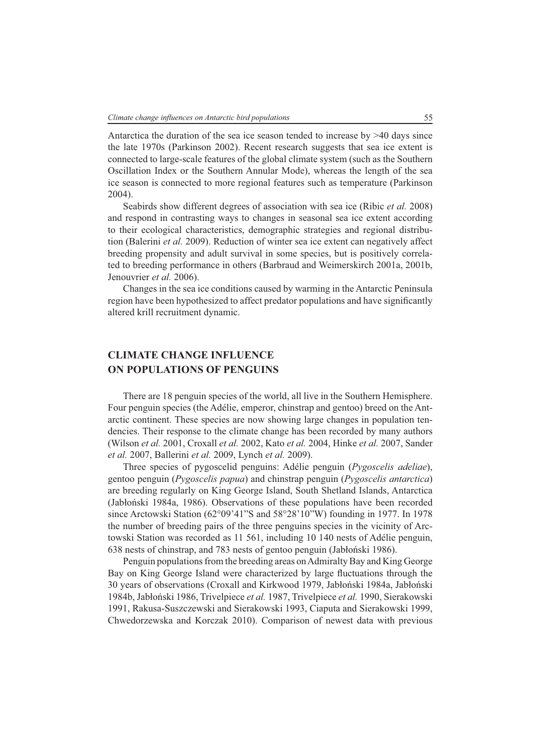Antarctica the duration of the sea ice season tended to increase by >40 days since the late 1970s (Parkinson 2002). Recent research suggests that sea ice extent is connected to large-scale features of the global climate system (such as the Southern Oscillation Index or the Southern Annular Mode), whereas the length of the sea ice season is connected to more regional features such as temperature (Parkinson 2004).

Seabirds show different degrees of association with sea ice (Ribic *et al.* 2008) and respond in contrasting ways to changes in seasonal sea ice extent according to their ecological characteristics, demographic strategies and regional distribution (Balerini *et al.* 2009). Reduction of winter sea ice extent can negatively affect breeding propensity and adult survival in some species, but is positively correlated to breeding performance in others (Barbraud and Weimerskirch 2001a, 2001b, Jenouvrier *et al.* 2006).

Changes in the sea ice conditions caused by warming in the Antarctic Peninsula region have been hypothesized to affect predator populations and have significantly altered krill recruitment dynamic.

## **CLIMATE CHANGE INFLUENCE ON POPULATIONS OF PENGUINS**

There are 18 penguin species of the world, all live in the Southern Hemisphere. Four penguin species (the Adélie, emperor, chinstrap and gentoo) breed on the Antarctic continent. These species are now showing large changes in population tendencies. Their response to the climate change has been recorded by many authors (Wilson *et al.* 2001, Croxall *et al.* 2002, Kato *et al.* 2004, Hinke *et al.* 2007, Sander *et al.* 2007, Ballerini *et al.* 2009, Lynch *et al.* 2009).

Three species of pygoscelid penguins: Adélie penguin (*Pygoscelis adeliae*), gentoo penguin (*Pygoscelis papua*) and chinstrap penguin (*Pygoscelis antarctica*) are breeding regularly on King George Island, South Shetland Islands, Antarctica (Jabłoński 1984a, 1986). Observations of these populations have been recorded since Arctowski Station (62°09'41"S and 58°28'10"W) founding in 1977. In 1978 the number of breeding pairs of the three penguins species in the vicinity of Arctowski Station was recorded as 11 561, including 10 140 nests of Adélie penguin, 638 nests of chinstrap, and 783 nests of gentoo penguin (Jabłoński 1986).

Penguin populations from the breeding areas on Admiralty Bay and King George Bay on King George Island were characterized by large fluctuations through the 30 years of observations (Croxall and Kirkwood 1979, Jabłoński 1984a, Jabłoński 1984b, Jabłoński 1986, Trivelpiece *et al.* 1987, Trivelpiece *et al.* 1990, Sierakowski 1991, Rakusa-Suszczewski and Sierakowski 1993, Ciaputa and Sierakowski 1999, Chwedorzewska and Korczak 2010). Comparison of newest data with previous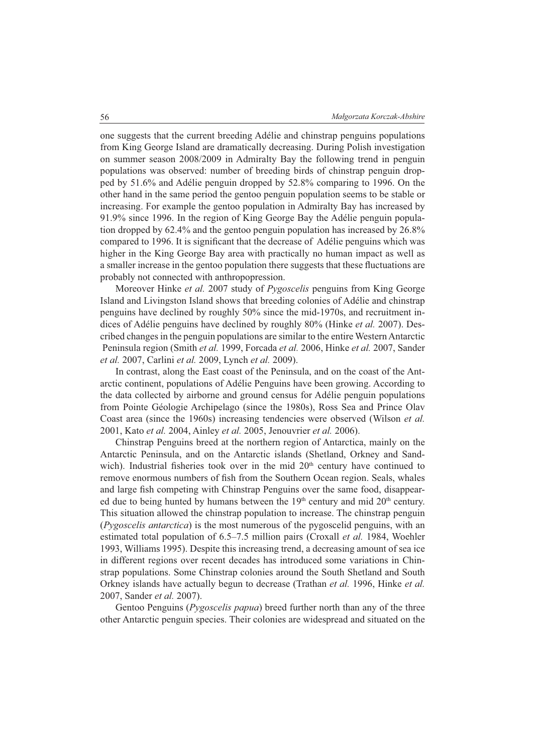one suggests that the current breeding Adélie and chinstrap penguins populations from King George Island are dramatically decreasing. During Polish investigation on summer season 2008/2009 in Admiralty Bay the following trend in penguin populations was observed: number of breeding birds of chinstrap penguin dropped by 51.6% and Adélie penguin dropped by 52.8% comparing to 1996. On the other hand in the same period the gentoo penguin population seems to be stable or increasing. For example the gentoo population in Admiralty Bay has increased by 91.9% since 1996. In the region of King George Bay the Adélie penguin population dropped by 62.4% and the gentoo penguin population has increased by 26.8% compared to 1996. It is significant that the decrease of Adélie penguins which was higher in the King George Bay area with practically no human impact as well as a smaller increase in the gentoo population there suggests that these fluctuations are probably not connected with anthropopression.

Moreover Hinke *et al.* 2007 study of *Pygoscelis* penguins from King George Island and Livingston Island shows that breeding colonies of Adélie and chinstrap penguins have declined by roughly 50% since the mid-1970s, and recruitment indices of Adélie penguins have declined by roughly 80% (Hinke *et al.* 2007). Described changes in the penguin populations are similar to the entire Western Antarctic Peninsula region (Smith *et al.* 1999, Forcada *et al.* 2006, Hinke *et al.* 2007, Sander *et al.* 2007, Carlini *et al.* 2009, Lynch *et al.* 2009).

In contrast, along the East coast of the Peninsula, and on the coast of the Antarctic continent, populations of Adélie Penguins have been growing. According to the data collected by airborne and ground census for Adélie penguin populations from Pointe Géologie Archipelago (since the 1980s), Ross Sea and Prince Olav Coast area (since the 1960s) increasing tendencies were observed (Wilson *et al.* 2001, Kato *et al.* 2004, Ainley *et al.* 2005, Jenouvrier *et al.* 2006).

Chinstrap Penguins breed at the northern region of Antarctica, mainly on the Antarctic Peninsula, and on the Antarctic islands (Shetland, Orkney and Sandwich). Industrial fisheries took over in the mid  $20<sup>th</sup>$  century have continued to remove enormous numbers of fish from the Southern Ocean region. Seals, whales and large fish competing with Chinstrap Penguins over the same food, disappeared due to being hunted by humans between the  $19<sup>th</sup>$  century and mid  $20<sup>th</sup>$  century. This situation allowed the chinstrap population to increase. The chinstrap penguin (*Pygoscelis antarctica*) is the most numerous of the pygoscelid penguins, with an estimated total population of 6.5–7.5 million pairs (Croxall *et al.* 1984, Woehler 1993, Williams 1995). Despite this increasing trend, a decreasing amount of sea ice in different regions over recent decades has introduced some variations in Chinstrap populations. Some Chinstrap colonies around the South Shetland and South Orkney islands have actually begun to decrease (Trathan *et al.* 1996, Hinke *et al.* 2007, Sander *et al.* 2007).

Gentoo Penguins (*Pygoscelis papua*) breed further north than any of the three other Antarctic penguin species. Their colonies are widespread and situated on the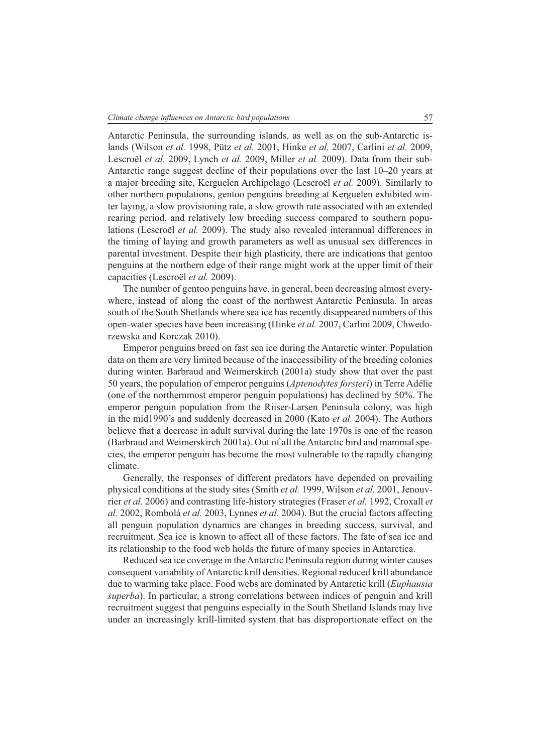Antarctic Peninsula, the surrounding islands, as well as on the sub-Antarctic islands (Wilson *et al.* 1998, Pütz *et al.* 2001, Hinke *et al.* 2007, Carlini *et al.* 2009, Lescroёl *et al.* 2009, Lynch *et al.* 2009, Miller *et al.* 2009). Data from their sub-Antarctic range suggest decline of their populations over the last 10–20 years at a major breeding site, Kerguelen Archipelago (Lescroёl *et al.* 2009). Similarly to other northern populations, gentoo penguins breeding at Kerguelen exhibited winter laying, a slow provisioning rate, a slow growth rate associated with an extended rearing period, and relatively low breeding success compared to southern populations (Lescroёl *et al.* 2009). The study also revealed interannual differences in the timing of laying and growth parameters as well as unusual sex differences in parental investment. Despite their high plasticity, there are indications that gentoo penguins at the northern edge of their range might work at the upper limit of their capacities (Lescroёl *et al.* 2009).

The number of gentoo penguins have, in general, been decreasing almost everywhere, instead of along the coast of the northwest Antarctic Peninsula. In areas south of the South Shetlands where sea ice has recently disappeared numbers of this open-water species have been increasing (Hinke *et al.* 2007, Carlini 2009, Chwedorzewska and Korczak 2010).

Emperor penguins breed on fast sea ice during the Antarctic winter. Population data on them are very limited because of the inaccessibility of the breeding colonies during winter. Barbraud and Weimerskirch (2001a) study show that over the past 50 years, the population of emperor penguins (*Aptenodytes forsteri*) in Terre Adélie (one of the northernmost emperor penguin populations) has declined by 50%. The emperor penguin population from the Riiser-Larsen Peninsula colony, was high in the mid1990's and suddenly decreased in 2000 (Kato *et al.* 2004). The Authors believe that a decrease in adult survival during the late 1970s is one of the reason (Barbraud and Weimerskirch 2001a). Out of all the Antarctic bird and mammal species, the emperor penguin has become the most vulnerable to the rapidly changing climate.

Generally, the responses of different predators have depended on prevailing physical conditions at the study sites (Smith *et al.* 1999, Wilson *et al.* 2001, Jenouvrier *et al.* 2006) and contrasting life-history strategies (Fraser *et al.* 1992, Croxall *et al.* 2002, Rombolá *et al.* 2003, Lynnes *et al.* 2004). But the crucial factors affecting all penguin population dynamics are changes in breeding success, survival, and recruitment. Sea ice is known to affect all of these factors. The fate of sea ice and its relationship to the food web holds the future of many species in Antarctica.

Reduced sea ice coverage in the Antarctic Peninsula region during winter causes consequent variability of Antarctic krill densities. Regional reduced krill abundance due to warming take place. Food webs are dominated by Antarctic krill (*Euphausia superba*). In particular, a strong correlations between indices of penguin and krill recruitment suggest that penguins especially in the South Shetland Islands may live under an increasingly krill-limited system that has disproportionate effect on the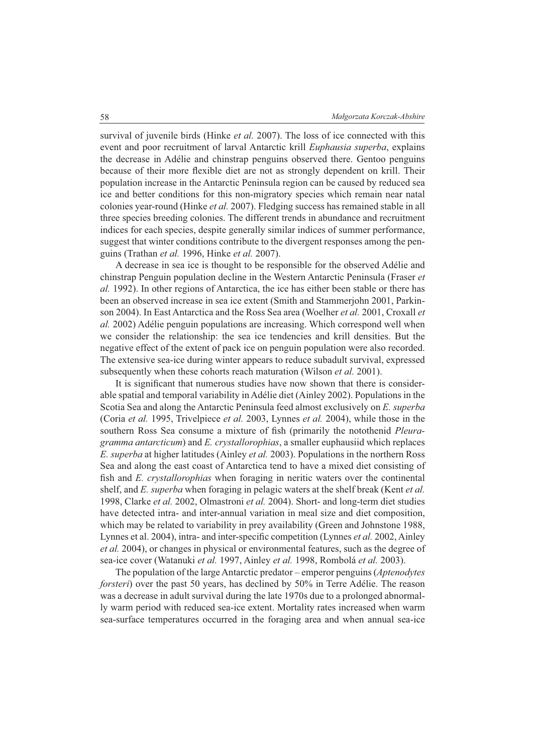survival of juvenile birds (Hinke *et al.* 2007). The loss of ice connected with this event and poor recruitment of larval Antarctic krill *Euphausia superba*, explains the decrease in Adélie and chinstrap penguins observed there. Gentoo penguins because of their more flexible diet are not as strongly dependent on krill. Their population increase in the Antarctic Peninsula region can be caused by reduced sea ice and better conditions for this non-migratory species which remain near natal colonies year-round (Hinke *et al.* 2007). Fledging success has remained stable in all three species breeding colonies. The different trends in abundance and recruitment indices for each species, despite generally similar indices of summer performance, suggest that winter conditions contribute to the divergent responses among the penguins (Trathan *et al.* 1996, Hinke *et al.* 2007).

A decrease in sea ice is thought to be responsible for the observed Adélie and chinstrap Penguin population decline in the Western Antarctic Peninsula (Fraser *et al.* 1992). In other regions of Antarctica, the ice has either been stable or there has been an observed increase in sea ice extent (Smith and Stammerjohn 2001, Parkinson 2004). In East Antarctica and the Ross Sea area (Woelher *et al.* 2001, Croxall *et al.* 2002) Adélie penguin populations are increasing. Which correspond well when we consider the relationship: the sea ice tendencies and krill densities. But the negative effect of the extent of pack ice on penguin population were also recorded. The extensive sea-ice during winter appears to reduce subadult survival, expressed subsequently when these cohorts reach maturation (Wilson *et al.* 2001).

It is significant that numerous studies have now shown that there is considerable spatial and temporal variability in Adélie diet (Ainley 2002). Populations in the Scotia Sea and along the Antarctic Peninsula feed almost exclusively on *E. superba* (Coria *et al.* 1995, Trivelpiece *et al.* 2003, Lynnes *et al.* 2004), while those in the southern Ross Sea consume a mixture of fish (primarily the notothenid *Pleuragramma antarcticum*) and *E. crystallorophias*, a smaller euphausiid which replaces *E. superba* at higher latitudes (Ainley *et al.* 2003). Populations in the northern Ross Sea and along the east coast of Antarctica tend to have a mixed diet consisting of fish and *E. crystallorophias* when foraging in neritic waters over the continental shelf, and *E. superba* when foraging in pelagic waters at the shelf break (Kent *et al.* 1998, Clarke *et al.* 2002, Olmastroni *et al.* 2004). Short- and long-term diet studies have detected intra- and inter-annual variation in meal size and diet composition, which may be related to variability in prey availability (Green and Johnstone 1988, Lynnes et al. 2004), intra- and inter-specific competition (Lynnes *et al.* 2002, Ainley *et al.* 2004), or changes in physical or environmental features, such as the degree of sea-ice cover (Watanuki *et al.* 1997, Ainley *et al.* 1998, Rombolá *et al.* 2003).

The population of the large Antarctic predator – emperor penguins (*Aptenodytes forsteri*) over the past 50 years, has declined by 50% in Terre Adélie. The reason was a decrease in adult survival during the late 1970s due to a prolonged abnormally warm period with reduced sea-ice extent. Mortality rates increased when warm sea-surface temperatures occurred in the foraging area and when annual sea-ice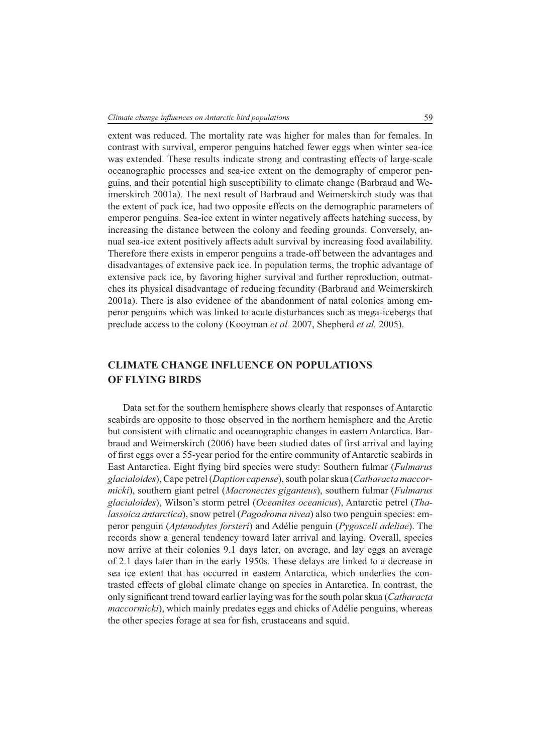extent was reduced. The mortality rate was higher for males than for females. In contrast with survival, emperor penguins hatched fewer eggs when winter sea-ice was extended. These results indicate strong and contrasting effects of large-scale oceanographic processes and sea-ice extent on the demography of emperor penguins, and their potential high susceptibility to climate change (Barbraud and Weimerskirch 2001a). The next result of Barbraud and Weimerskirch study was that the extent of pack ice, had two opposite effects on the demographic parameters of emperor penguins. Sea-ice extent in winter negatively affects hatching success, by increasing the distance between the colony and feeding grounds. Conversely, annual sea-ice extent positively affects adult survival by increasing food availability. Therefore there exists in emperor penguins a trade-off between the advantages and disadvantages of extensive pack ice. In population terms, the trophic advantage of extensive pack ice, by favoring higher survival and further reproduction, outmatches its physical disadvantage of reducing fecundity (Barbraud and Weimerskirch 2001a). There is also evidence of the abandonment of natal colonies among emperor penguins which was linked to acute disturbances such as mega-icebergs that preclude access to the colony (Kooyman *et al.* 2007, Shepherd *et al.* 2005).

### **CLIMATE CHANGE INFLUENCE ON POPULATIONS OF FLYING BIRDS**

Data set for the southern hemisphere shows clearly that responses of Antarctic seabirds are opposite to those observed in the northern hemisphere and the Arctic but consistent with climatic and oceanographic changes in eastern Antarctica. Barbraud and Weimerskirch (2006) have been studied dates of first arrival and laying of first eggs over a 55-year period for the entire community of Antarctic seabirds in East Antarctica. Eight flying bird species were study: Southern fulmar (*Fulmarus glacialoides*), Cape petrel (*Daption capense*), south polar skua (*Catharacta maccormicki*), southern giant petrel (*Macronectes giganteus*), southern fulmar (*Fulmarus glacialoides*), Wilson's storm petrel (*Oceanites oceanicus*), Antarctic petrel (*Thalassoica antarctica*), snow petrel (*Pagodroma nivea*) also two penguin species: emperor penguin (*Aptenodytes forsteri*) and Adélie penguin (*Pygosceli adeliae*). The records show a general tendency toward later arrival and laying. Overall, species now arrive at their colonies 9.1 days later, on average, and lay eggs an average of 2.1 days later than in the early 1950s. These delays are linked to a decrease in sea ice extent that has occurred in eastern Antarctica, which underlies the contrasted effects of global climate change on species in Antarctica. In contrast, the only signifi cant trend toward earlier laying was for the south polar skua (*Catharacta maccormicki*), which mainly predates eggs and chicks of Adélie penguins, whereas the other species forage at sea for fish, crustaceans and squid.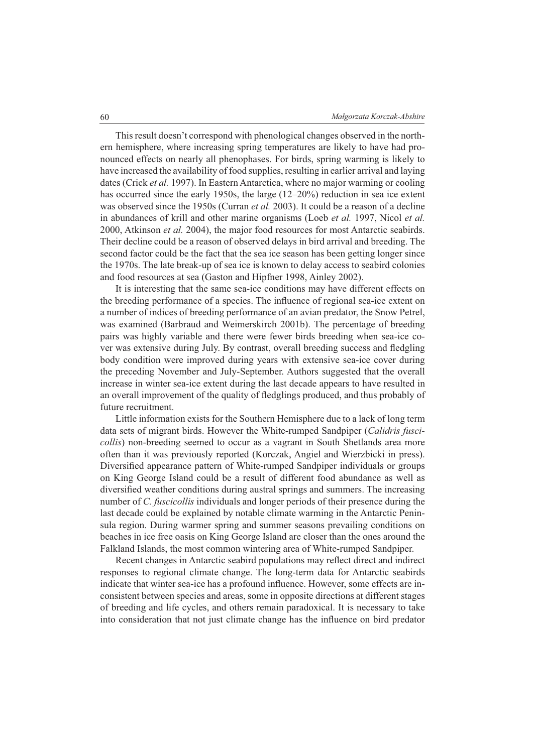This result doesn't correspond with phenological changes observed in the northern hemisphere, where increasing spring temperatures are likely to have had pronounced effects on nearly all phenophases. For birds, spring warming is likely to have increased the availability of food supplies, resulting in earlier arrival and laying dates (Crick *et al.* 1997). In Eastern Antarctica, where no major warming or cooling has occurred since the early 1950s, the large (12–20%) reduction in sea ice extent was observed since the 1950s (Curran *et al.* 2003). It could be a reason of a decline in abundances of krill and other marine organisms (Loeb *et al.* 1997, Nicol *et al.* 2000, Atkinson *et al.* 2004), the major food resources for most Antarctic seabirds. Their decline could be a reason of observed delays in bird arrival and breeding. The second factor could be the fact that the sea ice season has been getting longer since the 1970s. The late break-up of sea ice is known to delay access to seabird colonies and food resources at sea (Gaston and Hipfner 1998, Ainley 2002).

It is interesting that the same sea-ice conditions may have different effects on the breeding performance of a species. The influence of regional sea-ice extent on a number of indices of breeding performance of an avian predator, the Snow Petrel, was examined (Barbraud and Weimerskirch 2001b). The percentage of breeding pairs was highly variable and there were fewer birds breeding when sea-ice cover was extensive during July. By contrast, overall breeding success and fledgling body condition were improved during years with extensive sea-ice cover during the preceding November and July-September. Authors suggested that the overall increase in winter sea-ice extent during the last decade appears to have resulted in an overall improvement of the quality of fledglings produced, and thus probably of future recruitment.

Little information exists for the Southern Hemisphere due to a lack of long term data sets of migrant birds. However the White-rumped Sandpiper (*Calidris fuscicollis*) non-breeding seemed to occur as a vagrant in South Shetlands area more often than it was previously reported (Korczak, Angiel and Wierzbicki in press). Diversified appearance pattern of White-rumped Sandpiper individuals or groups on King George Island could be a result of different food abundance as well as diversified weather conditions during austral springs and summers. The increasing number of *C. fuscicollis* individuals and longer periods of their presence during the last decade could be explained by notable climate warming in the Antarctic Peninsula region. During warmer spring and summer seasons prevailing conditions on beaches in ice free oasis on King George Island are closer than the ones around the Falkland Islands, the most common wintering area of White-rumped Sandpiper.

Recent changes in Antarctic seabird populations may reflect direct and indirect responses to regional climate change. The long-term data for Antarctic seabirds indicate that winter sea-ice has a profound influence. However, some effects are inconsistent between species and areas, some in opposite directions at different stages of breeding and life cycles, and others remain paradoxical. It is necessary to take into consideration that not just climate change has the influence on bird predator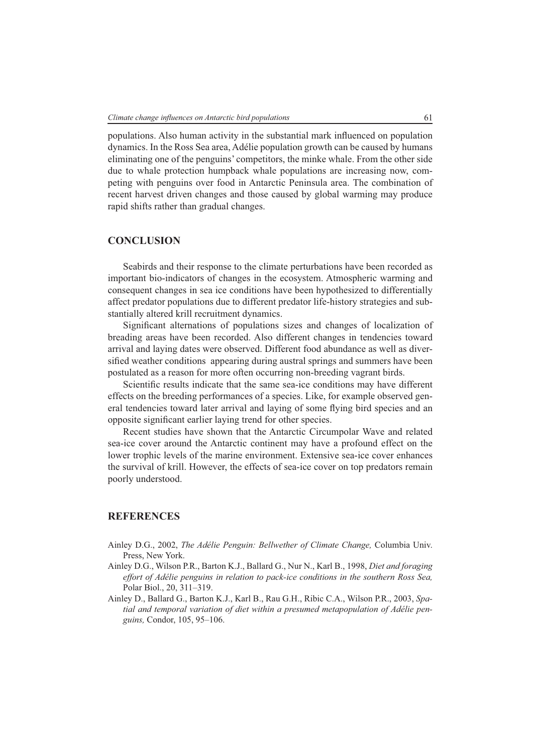populations. Also human activity in the substantial mark influenced on population dynamics. In the Ross Sea area, Adélie population growth can be caused by humans eliminating one of the penguins' competitors, the minke whale. From the other side due to whale protection humpback whale populations are increasing now, competing with penguins over food in Antarctic Peninsula area. The combination of recent harvest driven changes and those caused by global warming may produce rapid shifts rather than gradual changes.

#### **CONCLUSION**

Seabirds and their response to the climate perturbations have been recorded as important bio-indicators of changes in the ecosystem. Atmospheric warming and consequent changes in sea ice conditions have been hypothesized to differentially affect predator populations due to different predator life-history strategies and substantially altered krill recruitment dynamics.

Significant alternations of populations sizes and changes of localization of breading areas have been recorded. Also different changes in tendencies toward arrival and laying dates were observed. Different food abundance as well as diversified weather conditions appearing during austral springs and summers have been postulated as a reason for more often occurring non-breeding vagrant birds.

Scientific results indicate that the same sea-ice conditions may have different effects on the breeding performances of a species. Like, for example observed general tendencies toward later arrival and laying of some flying bird species and an opposite significant earlier laying trend for other species.

Recent studies have shown that the Antarctic Circumpolar Wave and related sea-ice cover around the Antarctic continent may have a profound effect on the lower trophic levels of the marine environment. Extensive sea-ice cover enhances the survival of krill. However, the effects of sea-ice cover on top predators remain poorly understood.

#### **REFERENCES**

- Ainley D.G., 2002, *The Adélie Penguin: Bellwether of Climate Change,* Columbia Univ. Press, New York.
- Ainley D.G., Wilson P.R., Barton K.J., Ballard G., Nur N., Karl B., 1998, *Diet and foraging effort of Adélie penguins in relation to pack-ice conditions in the southern Ross Sea,*  Polar Biol., 20, 311–319.
- Ainley D., Ballard G., Barton K.J., Karl B., Rau G.H., Ribic C.A., Wilson P.R., 2003, *Spatial and temporal variation of diet within a presumed metapopulation of Adélie penguins,* Condor, 105, 95–106.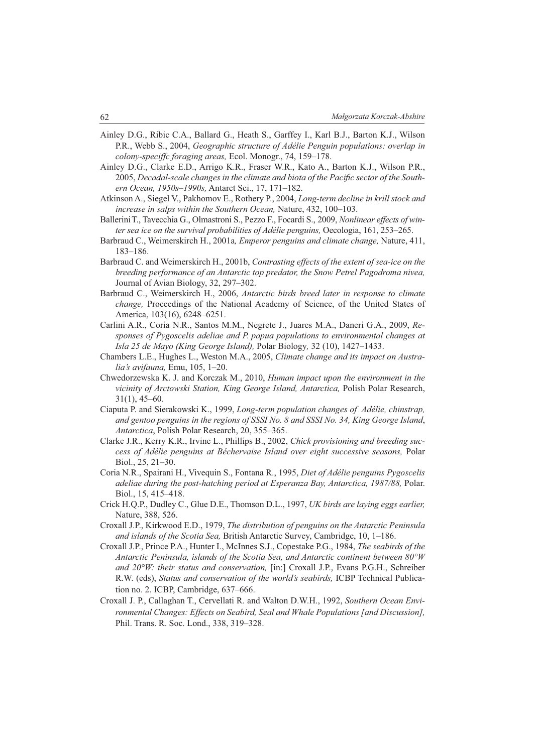- Ainley D.G., Ribic C.A., Ballard G., Heath S., Garffey I., Karl B.J., Barton K.J., Wilson P.R., Webb S., 2004, *Geographic structure of Adélie Penguin populations: overlap in colony-speciffc foraging areas,* Ecol. Monogr., 74, 159–178.
- Ainley D.G., Clarke E.D., Arrigo K.R., Fraser W.R., Kato A., Barton K.J., Wilson P.R., 2005, *Decadal-scale changes in the climate and biota of the Pacific sector of the Southern Ocean, 1950s–1990s,* Antarct Sci., 17, 171–182.
- Atkinson A., Siegel V., Pakhomov E., Rothery P., 2004, *Long-term decline in krill stock and increase in salps within the Southern Ocean,* Nature, 432, 100–103.
- BalleriniT., Tavecchia G., Olmastroni S., Pezzo F., Focardi S., 2009, *Nonlinear effects of winter sea ice on the survival probabilities of Adélie penguins,* Oecologia, 161, 253–265.
- Barbraud C., Weimerskirch H., 2001a*, Emperor penguins and climate change,* Nature, 411, 183–186.
- Barbraud C. and Weimerskirch H., 2001b, *Contrasting effects of the extent of sea-ice on the breeding performance of an Antarctic top predator, the Snow Petrel Pagodroma nivea,*  Journal of Avian Biology, 32, 297–302.
- Barbraud C., Weimerskirch H., 2006, *Antarctic birds breed later in response to climate change,* Proceedings of the National Academy of Science, of the United States of America, 103(16), 6248–6251.
- Carlini A.R., Coria N.R., Santos M.M., Negrete J., Juares M.A., Daneri G.A., 2009, *Responses of Pygoscelis adeliae and P. papua populations to environmental changes at Isla 25 de Mayo (King George Island),* Polar Biology*,* 32 (10), 1427–1433.
- Chambers L.E., Hughes L., Weston M.A., 2005, *Climate change and its impact on Australia's avifauna,* Emu, 105, 1–20.
- Chwedorzewska K. J. and Korczak M., 2010, *Human impact upon the environment in the vicinity of Arctowski Station, King George Island, Antarctica,* Polish Polar Research, 31(1), 45–60.
- Ciaputa P. and Sierakowski K., 1999, *Long-term population changes of Adélie, chinstrap, and gentoo penguins in the regions of SSSI No. 8 and SSSI No. 34, King George Island*, *Antarctica*, Polish Polar Research, 20, 355–365.
- Clarke J.R., Kerry K.R., Irvine L., Phillips B., 2002, *Chick provisioning and breeding success of Adélie penguins at Béchervaise Island over eight successive seasons,* Polar Biol., 25, 21–30.
- Coria N.R., Spairani H., Vivequin S., Fontana R., 1995, *Diet of Adélie penguins Pygoscelis adeliae during the post-hatching period at Esperanza Bay, Antarctica, 1987/88,* Polar. Biol., 15, 415–418.
- Crick H.Q.P., Dudley C., Glue D.E., Thomson D.L., 1997, *UK birds are laying eggs earlier,*  Nature, 388, 526.
- Croxall J.P., Kirkwood E.D., 1979, *The distribution of penguins on the Antarctic Peninsula and islands of the Scotia Sea,* British Antarctic Survey, Cambridge, 10, 1–186.
- Croxall J.P., Prince P.A., Hunter I., McInnes S.J., Copestake P.G., 1984, *The seabirds of the Antarctic Peninsula, islands of the Scotia Sea, and Antarctic continent between 80°W and 20°W: their status and conservation,* [in:] Croxall J.P., Evans P.G.H., Schreiber R.W. (eds), *Status and conservation of the world's seabirds,* ICBP Technical Publication no. 2. ICBP, Cambridge, 637–666.
- Croxall J. P., Callaghan T., Cervellati R. and Walton D.W.H., 1992, *Southern Ocean Environmental Changes: Effects on Seabird, Seal and Whale Populations [and Discussion],* Phil. Trans. R. Soc. Lond., 338, 319–328.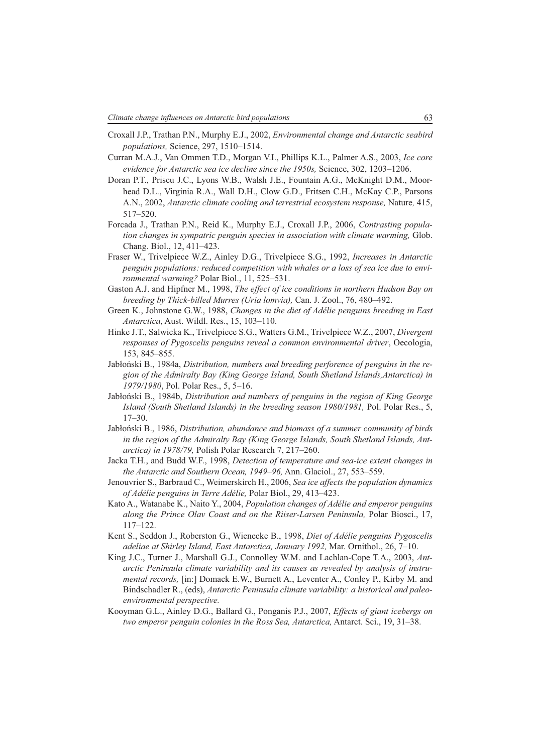- Croxall J.P., Trathan P.N., Murphy E.J., 2002, *Environmental change and Antarctic seabird populations,* Science, 297, 1510–1514.
- Curran M.A.J., Van Ommen T.D., Morgan V.I., Phillips K.L., Palmer A.S., 2003, *Ice core evidence for Antarctic sea ice decline since the 1950s,* Science, 302, 1203–1206.
- Doran P.T., Priscu J.C., Lyons W.B., Walsh J.E., Fountain A.G., McKnight D.M., Moorhead D.L., Virginia R.A., Wall D.H., Clow G.D., Fritsen C.H., McKay C.P., Parsons A.N., 2002, *Antarctic climate cooling and terrestrial ecosystem response,* Nature*,* 415, 517–520.
- Forcada J., Trathan P.N., Reid K., Murphy E.J., Croxall J.P., 2006, *Contrasting population changes in sympatric penguin species in association with climate warming,* Glob. Chang. Biol., 12, 411–423.
- Fraser W., Trivelpiece W.Z., Ainley D.G., Trivelpiece S.G., 1992, *Increases in Antarctic penguin populations: reduced competition with whales or a loss of sea ice due to environmental warming?* Polar Biol., 11, 525–531.
- Gaston A.J. and Hipfner M., 1998, *The effect of ice conditions in northern Hudson Bay on breeding by Thick-billed Murres (Uria lomvia),* Can. J. Zool., 76, 480–492.
- Green K., Johnstone G.W., 1988, *Changes in the diet of Adélie penguins breeding in East Antarctica*, Aust. Wildl. Res., 15, 103–110.
- Hinke J.T., Salwicka K., Trivelpiece S.G., Watters G.M., Trivelpiece W.Z., 2007, *Divergent responses of Pygoscelis penguins reveal a common environmental driver*, Oecologia, 153, 845–855.
- Jabłoński B., 1984a, *Distribution, numbers and breeding perforence of penguins in the region of the Admiralty Bay (King George Island, South Shetland Islands,Antarctica) in 1979/1980*, Pol. Polar Res., 5, 5–16.
- Jabłoński B., 1984b, *Distribution and numbers of penguins in the region of King George Island (South Shetland Islands) in the breeding season 1980/1981,* Pol. Polar Res., 5,  $17-30.$
- Jabłoński B., 1986, *Distribution, abundance and biomass of a summer community of birds in the region of the Admiralty Bay (King George Islands, South Shetland Islands, Antarctica) in 1978/79,* Polish Polar Research 7, 217–260.
- Jacka T.H., and Budd W.F., 1998, *Detection of temperature and sea-ice extent changes in the Antarctic and Southern Ocean, 1949–96,* Ann. Glaciol., 27, 553–559.
- Jenouvrier S., Barbraud C., Weimerskirch H., 2006, *Sea ice affects the population dynamics of Adélie penguins in Terre Adélie,* Polar Biol., 29, 413–423.
- Kato A., Watanabe K., Naito Y., 2004, *Population changes of Adélie and emperor penguins along the Prince Olav Coast and on the Riiser-Larsen Peninsula,* Polar Biosci., 17, 117–122.
- Kent S., Seddon J., Roberston G., Wienecke B., 1998, *Diet of Adélie penguins Pygoscelis adeliae at Shirley Island, East Antarctica, January 1992,* Mar. Ornithol., 26, 7–10.
- King J.C., Turner J., Marshall G.J., Connolley W.M. and Lachlan-Cope T.A., 2003, *Antarctic Peninsula climate variability and its causes as revealed by analysis of instrumental records,* [in:] Domack E.W., Burnett A., Leventer A., Conley P., Kirby M. and Bindschadler R., (eds), *Antarctic Peninsula climate variability: a historical and paleoenvironmental perspective.*
- Kooyman G.L., Ainley D.G., Ballard G., Ponganis P.J., 2007, *Effects of giant icebergs on two emperor penguin colonies in the Ross Sea, Antarctica,* Antarct. Sci., 19, 31–38.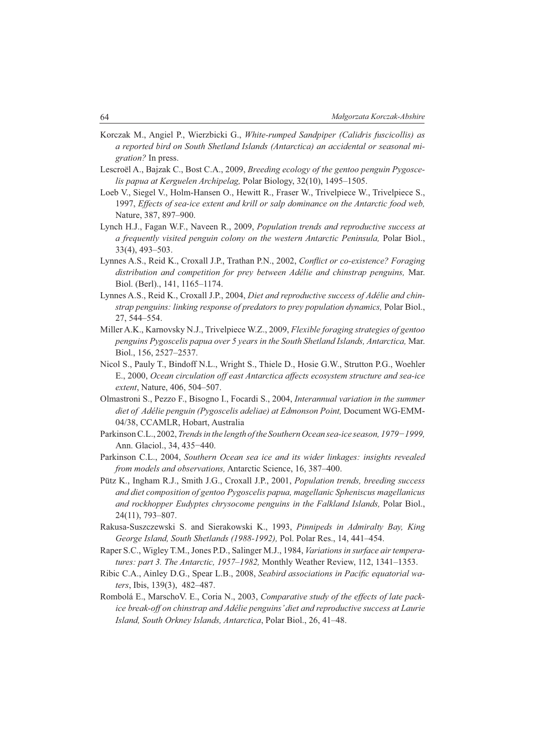- Korczak M., Angiel P., Wierzbicki G., *White-rumped Sandpiper (Calidris fuscicollis) as a reported bird on South Shetland Islands (Antarctica) an accidental or seasonal migration?* In press.
- Lescroël A., Bajzak C., Bost C.A., 2009, *Breeding ecology of the gentoo penguin Pygoscelis papua at Kerguelen Archipelag,* Polar Biology, 32(10), 1495–1505.
- Loeb V., Siegel V., Holm-Hansen O., Hewitt R., Fraser W., Trivelpiece W., Trivelpiece S., 1997, *Effects of sea-ice extent and krill or salp dominance on the Antarctic food web,*  Nature, 387, 897–900.
- Lynch H.J., Fagan W.F., Naveen R., 2009, *Population trends and reproductive success at a frequently visited penguin colony on the western Antarctic Peninsula,* Polar Biol., 33(4), 493–503.
- Lynnes A.S., Reid K., Croxall J.P., Trathan P.N., 2002, *Conflict or co-existence? Foraging distribution and competition for prey between Adélie and chinstrap penguins,* Mar. Biol. (Berl)., 141, 1165–1174.
- Lynnes A.S., Reid K., Croxall J.P., 2004, *Diet and reproductive success of Adélie and chinstrap penguins: linking response of predators to prey population dynamics,* Polar Biol., 27, 544–554.
- Miller A.K., Karnovsky N.J., Trivelpiece W.Z., 2009, *Flexible foraging strategies of gentoo penguins Pygoscelis papua over 5 years in the South Shetland Islands, Antarctica,* Mar. Biol., 156, 2527–2537.
- Nicol S., Pauly T., Bindoff N.L., Wright S., Thiele D., Hosie G.W., Strutton P.G., Woehler E., 2000, *Ocean circulation off east Antarctica affects ecosystem structure and sea-ice extent*, Nature, 406, 504–507.
- Olmastroni S., Pezzo F., Bisogno I., Focardi S., 2004, *Interannual variation in the summer diet of Adélie penguin (Pygoscelis adeliae) at Edmonson Point,* Document WG-EMM-04/38, CCAMLR, Hobart, Australia
- Parkinson C.L., 2002, *Trends in the length of the Southern Ocean sea-ice season, 1979−1999,*  Ann. Glaciol., 34, 435−440.
- Parkinson C.L., 2004, *Southern Ocean sea ice and its wider linkages: insights revealed from models and observations,* Antarctic Science, 16, 387–400.
- Pütz K., Ingham R.J., Smith J.G., Croxall J.P., 2001, *Population trends, breeding success and diet composition of gentoo Pygoscelis papua, magellanic Spheniscus magellanicus and rockhopper Eudyptes chrysocome penguins in the Falkland Islands,* Polar Biol., 24(11), 793–807.
- Rakusa-Suszczewski S. and Sierakowski K., 1993, *Pinnipeds in Admiralty Bay, King George Island, South Shetlands (1988-1992),* Pol. Polar Res., 14, 441–454.
- Raper S.C., Wigley T.M., Jones P.D., Salinger M.J., 1984, *Variations in surface air temperatures: part 3. The Antarctic, 1957–1982,* Monthly Weather Review, 112, 1341–1353.
- Ribic C.A., Ainley D.G., Spear L.B., 2008, *Seabird associations in Pacifi c equatorial waters*, Ibis, 139(3), 482–487.
- Rombolá E., MarschoV. E., Coria N., 2003, *Comparative study of the effects of late packice break-off on chinstrap and Adélie penguins' diet and reproductive success at Laurie Island, South Orkney Islands, Antarctica*, Polar Biol., 26, 41–48.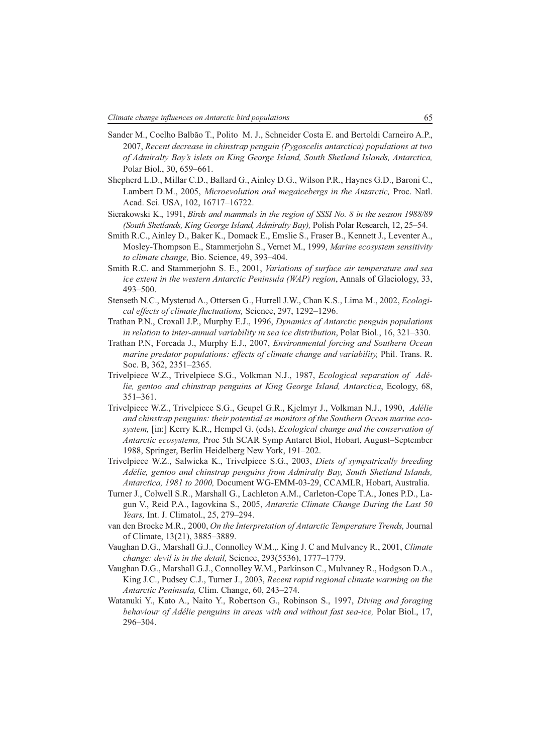- Sander M., Coelho Balbăo T., Polito M. J., Schneider Costa E. and Bertoldi Carneiro A.P., 2007, *Recent decrease in chinstrap penguin (Pygoscelis antarctica) populations at two of Admiralty Bay's islets on King George Island, South Shetland Islands, Antarctica,* Polar Biol., 30, 659–661.
- Shepherd L.D., Millar C.D., Ballard G., Ainley D.G., Wilson P.R., Haynes G.D., Baroni C., Lambert D.M., 2005, *Microevolution and megaicebergs in the Antarctic*, Proc. Natl. Acad. Sci. USA, 102, 16717–16722.
- Sierakowski K., 1991, *Birds and mammals in the region of SSSI No. 8 in the season 1988/89 (South Shetlands, King George Island, Admiralty Bay),* Polish Polar Research, 12, 25–54.
- Smith R.C., Ainley D., Baker K., Domack E., Emslie S., Fraser B., Kennett J., Leventer A., Mosley-Thompson E., Stammerjohn S., Vernet M., 1999, *Marine ecosystem sensitivity to climate change,* Bio. Science, 49, 393–404.
- Smith R.C. and Stammerjohn S. E., 2001, *Variations of surface air temperature and sea ice extent in the western Antarctic Peninsula (WAP) region*, Annals of Glaciology, 33, 493–500.
- Stenseth N.C., Mysterud A., Ottersen G., Hurrell J.W., Chan K.S., Lima M., 2002, *Ecological effects of climate fluctuations, Science, 297, 1292–1296.*
- Trathan P.N., Croxall J.P., Murphy E.J., 1996, *Dynamics of Antarctic penguin populations in relation to inter-annual variability in sea ice distribution*, Polar Biol., 16, 321–330.
- Trathan P.N, Forcada J., Murphy E.J., 2007, *Environmental forcing and Southern Ocean marine predator populations: effects of climate change and variability,* Phil. Trans. R. Soc. B, 362, 2351–2365.
- Trivelpiece W.Z., Trivelpiece S.G., Volkman N.J., 1987, *Ecological separation of Adélie, gentoo and chinstrap penguins at King George Island, Antarctica*, Ecology, 68, 351–361.
- Trivelpiece W.Z., Trivelpiece S.G., Geupel G.R., Kjelmyr J., Volkman N.J., 1990, *Adélie and chinstrap penguins: their potential as monitors of the Southern Ocean marine ecosystem,* [in:] Kerry K.R., Hempel G. (eds), *Ecological change and the conservation of Antarctic ecosystems,* Proc 5th SCAR Symp Antarct Biol, Hobart, August–September 1988, Springer, Berlin Heidelberg New York, 191–202.
- Trivelpiece W.Z., Salwicka K., Trivelpiece S.G., 2003, *Diets of sympatrically breeding Adélie, gentoo and chinstrap penguins from Admiralty Bay, South Shetland Islands, Antarctica, 1981 to 2000,* Document WG-EMM-03-29, CCAMLR, Hobart, Australia.
- Turner J., Colwell S.R., Marshall G., Lachleton A.M., Carleton-Cope T.A., Jones P.D., Lagun V., Reid P.A., Iagovkina S., 2005, *Antarctic Climate Change During the Last 50 Years,* Int. J. Climatol., 25, 279–294.
- van den Broeke M.R., 2000, *On the Interpretation of Antarctic Temperature Trends,* Journal of Climate, 13(21), 3885–3889.
- Vaughan D.G., Marshall G.J., Connolley W.M.,. King J. C and Mulvaney R., 2001, *Climate change: devil is in the detail,* Science, 293(5536), 1777–1779.
- Vaughan D.G., Marshall G.J., Connolley W.M., Parkinson C., Mulvaney R., Hodgson D.A., King J.C., Pudsey C.J., Turner J., 2003, *Recent rapid regional climate warming on the Antarctic Peninsula,* Clim. Change, 60, 243–274.
- Watanuki Y., Kato A., Naito Y., Robertson G., Robinson S., 1997, *Diving and foraging behaviour of Adélie penguins in areas with and without fast sea-ice,* Polar Biol., 17, 296–304.